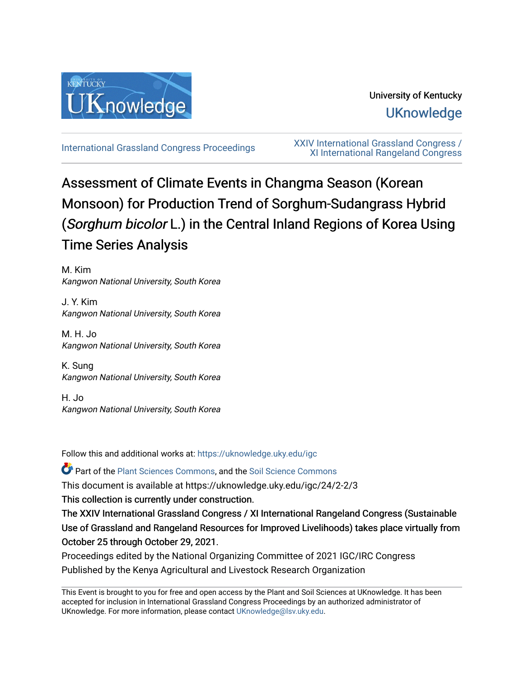

# University of Kentucky **UKnowledge**

[International Grassland Congress Proceedings](https://uknowledge.uky.edu/igc) [XXIV International Grassland Congress /](https://uknowledge.uky.edu/igc/24)  [XI International Rangeland Congress](https://uknowledge.uky.edu/igc/24) 

# Assessment of Climate Events in Changma Season (Korean Monsoon) for Production Trend of Sorghum-Sudangrass Hybrid (Sorghum bicolor L.) in the Central Inland Regions of Korea Using Time Series Analysis

M. Kim Kangwon National University, South Korea

J. Y. Kim Kangwon National University, South Korea

M. H. Jo Kangwon National University, South Korea

K. Sung Kangwon National University, South Korea

H. Jo Kangwon National University, South Korea

Follow this and additional works at: [https://uknowledge.uky.edu/igc](https://uknowledge.uky.edu/igc?utm_source=uknowledge.uky.edu%2Figc%2F24%2F2-2%2F3&utm_medium=PDF&utm_campaign=PDFCoverPages) 

Part of the [Plant Sciences Commons](http://network.bepress.com/hgg/discipline/102?utm_source=uknowledge.uky.edu%2Figc%2F24%2F2-2%2F3&utm_medium=PDF&utm_campaign=PDFCoverPages), and the [Soil Science Commons](http://network.bepress.com/hgg/discipline/163?utm_source=uknowledge.uky.edu%2Figc%2F24%2F2-2%2F3&utm_medium=PDF&utm_campaign=PDFCoverPages) 

This document is available at https://uknowledge.uky.edu/igc/24/2-2/3

This collection is currently under construction.

The XXIV International Grassland Congress / XI International Rangeland Congress (Sustainable Use of Grassland and Rangeland Resources for Improved Livelihoods) takes place virtually from October 25 through October 29, 2021.

Proceedings edited by the National Organizing Committee of 2021 IGC/IRC Congress Published by the Kenya Agricultural and Livestock Research Organization

This Event is brought to you for free and open access by the Plant and Soil Sciences at UKnowledge. It has been accepted for inclusion in International Grassland Congress Proceedings by an authorized administrator of UKnowledge. For more information, please contact [UKnowledge@lsv.uky.edu](mailto:UKnowledge@lsv.uky.edu).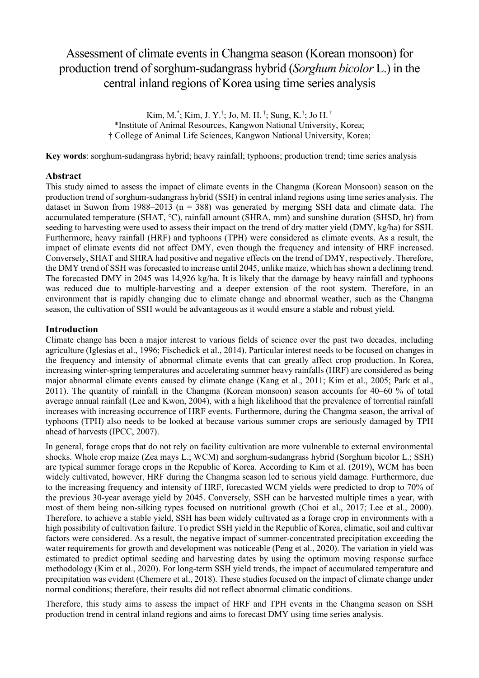# Assessment of climate events in Changma season (Korean monsoon) for production trend of sorghum-sudangrass hybrid (*Sorghum bicolor* L.) in the central inland regions of Korea using time series analysis

Kim, M.\* ; Kim, J. Y.† ; Jo, M. H. † ; Sung, K.† ; Jo H. † \*Institute of Animal Resources, Kangwon National University, Korea; † College of Animal Life Sciences, Kangwon National University, Korea;

**Key words**: sorghum-sudangrass hybrid; heavy rainfall; typhoons; production trend; time series analysis

## **Abstract**

This study aimed to assess the impact of climate events in the Changma (Korean Monsoon) season on the production trend of sorghum-sudangrass hybrid (SSH) in central inland regions using time series analysis. The dataset in Suwon from 1988–2013 ( $n = 388$ ) was generated by merging SSH data and climate data. The accumulated temperature (SHAT, ℃), rainfall amount (SHRA, mm) and sunshine duration (SHSD, hr) from seeding to harvesting were used to assess their impact on the trend of dry matter yield (DMY, kg/ha) for SSH. Furthermore, heavy rainfall (HRF) and typhoons (TPH) were considered as climate events. As a result, the impact of climate events did not affect DMY, even though the frequency and intensity of HRF increased. Conversely, SHAT and SHRA had positive and negative effects on the trend of DMY, respectively. Therefore, the DMY trend of SSH was forecasted to increase until 2045, unlike maize, which has shown a declining trend. The forecasted DMY in 2045 was 14,926 kg/ha. It is likely that the damage by heavy rainfall and typhoons was reduced due to multiple-harvesting and a deeper extension of the root system. Therefore, in an environment that is rapidly changing due to climate change and abnormal weather, such as the Changma season, the cultivation of SSH would be advantageous as it would ensure a stable and robust yield.

## **Introduction**

Climate change has been a major interest to various fields of science over the past two decades, including agriculture (Iglesias et al., 1996; Fischedick et al., 2014). Particular interest needs to be focused on changes in the frequency and intensity of abnormal climate events that can greatly affect crop production. In Korea, increasing winter-spring temperatures and accelerating summer heavy rainfalls (HRF) are considered as being major abnormal climate events caused by climate change (Kang et al., 2011; Kim et al., 2005; Park et al., 2011). The quantity of rainfall in the Changma (Korean monsoon) season accounts for 40–60 % of total average annual rainfall (Lee and Kwon, 2004), with a high likelihood that the prevalence of torrential rainfall increases with increasing occurrence of HRF events. Furthermore, during the Changma season, the arrival of typhoons (TPH) also needs to be looked at because various summer crops are seriously damaged by TPH ahead of harvests (IPCC, 2007).

In general, forage crops that do not rely on facility cultivation are more vulnerable to external environmental shocks. Whole crop maize (Zea mays L.; WCM) and sorghum-sudangrass hybrid (Sorghum bicolor L.; SSH) are typical summer forage crops in the Republic of Korea. According to Kim et al. (2019), WCM has been widely cultivated, however, HRF during the Changma season led to serious yield damage. Furthermore, due to the increasing frequency and intensity of HRF, forecasted WCM yields were predicted to drop to 70% of the previous 30-year average yield by 2045. Conversely, SSH can be harvested multiple times a year, with most of them being non-silking types focused on nutritional growth (Choi et al., 2017; Lee et al., 2000). Therefore, to achieve a stable yield, SSH has been widely cultivated as a forage crop in environments with a high possibility of cultivation failure. To predict SSH yield in the Republic of Korea, climatic, soil and cultivar factors were considered. As a result, the negative impact of summer-concentrated precipitation exceeding the water requirements for growth and development was noticeable (Peng et al., 2020). The variation in yield was estimated to predict optimal seeding and harvesting dates by using the optimum moving response surface methodology (Kim et al., 2020). For long-term SSH yield trends, the impact of accumulated temperature and precipitation was evident (Chemere et al., 2018). These studies focused on the impact of climate change under normal conditions; therefore, their results did not reflect abnormal climatic conditions.

Therefore, this study aims to assess the impact of HRF and TPH events in the Changma season on SSH production trend in central inland regions and aims to forecast DMY using time series analysis.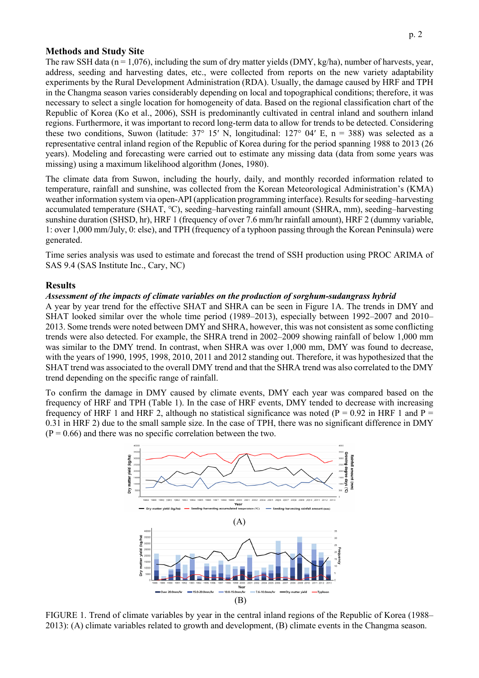## **Methods and Study Site**

The raw SSH data ( $n = 1,076$ ), including the sum of dry matter yields (DMY, kg/ha), number of harvests, year, address, seeding and harvesting dates, etc., were collected from reports on the new variety adaptability experiments by the Rural Development Administration (RDA). Usually, the damage caused by HRF and TPH in the Changma season varies considerably depending on local and topographical conditions; therefore, it was necessary to select a single location for homogeneity of data. Based on the regional classification chart of the Republic of Korea (Ko et al., 2006), SSH is predominantly cultivated in central inland and southern inland regions. Furthermore, it was important to record long-term data to allow for trends to be detected. Considering these two conditions, Suwon (latitude:  $37^{\circ}$  15′ N, longitudinal:  $127^{\circ}$  04′ E, n = 388) was selected as a representative central inland region of the Republic of Korea during for the period spanning 1988 to 2013 (26 years). Modeling and forecasting were carried out to estimate any missing data (data from some years was missing) using a maximum likelihood algorithm (Jones, 1980).

The climate data from Suwon, including the hourly, daily, and monthly recorded information related to temperature, rainfall and sunshine, was collected from the Korean Meteorological Administration's (KMA) weather information system via open-API (application programming interface). Results for seeding–harvesting accumulated temperature (SHAT, ℃), seeding–harvesting rainfall amount (SHRA, mm), seeding–harvesting sunshine duration (SHSD, hr), HRF 1 (frequency of over 7.6 mm/hr rainfall amount), HRF 2 (dummy variable, 1: over 1,000 mm/July, 0: else), and TPH (frequency of a typhoon passing through the Korean Peninsula) were generated.

Time series analysis was used to estimate and forecast the trend of SSH production using PROC ARIMA of SAS 9.4 (SAS Institute Inc., Cary, NC)

#### **Results**

#### *Assessment of the impacts of climate variables on the production of sorghum-sudangrass hybrid*

A year by year trend for the effective SHAT and SHRA can be seen in Figure 1A. The trends in DMY and SHAT looked similar over the whole time period (1989–2013), especially between 1992–2007 and 2010– 2013. Some trends were noted between DMY and SHRA, however, this was not consistent as some conflicting trends were also detected. For example, the SHRA trend in 2002–2009 showing rainfall of below 1,000 mm was similar to the DMY trend. In contrast, when SHRA was over 1,000 mm, DMY was found to decrease, with the years of 1990, 1995, 1998, 2010, 2011 and 2012 standing out. Therefore, it was hypothesized that the SHAT trend was associated to the overall DMY trend and that the SHRA trend was also correlated to the DMY trend depending on the specific range of rainfall.

To confirm the damage in DMY caused by climate events, DMY each year was compared based on the frequency of HRF and TPH (Table 1). In the case of HRF events, DMY tended to decrease with increasing frequency of HRF 1 and HRF 2, although no statistical significance was noted ( $P = 0.92$  in HRF 1 and  $P =$ 0.31 in HRF 2) due to the small sample size. In the case of TPH, there was no significant difference in DMY  $(P = 0.66)$  and there was no specific correlation between the two.



FIGURE 1. Trend of climate variables by year in the central inland regions of the Republic of Korea (1988– 2013): (A) climate variables related to growth and development, (B) climate events in the Changma season.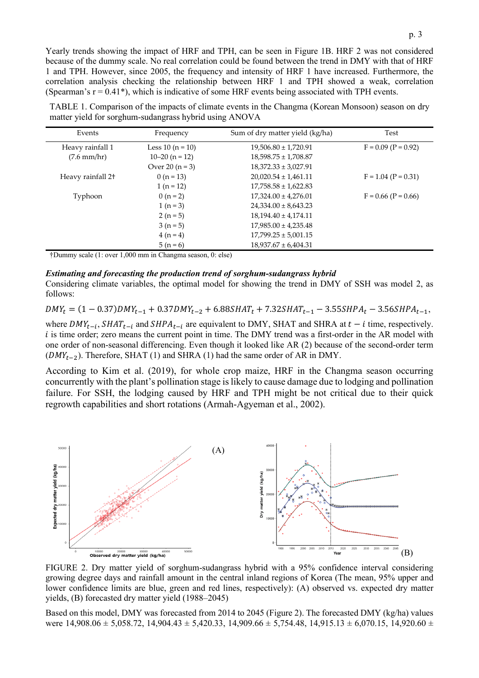Yearly trends showing the impact of HRF and TPH, can be seen in Figure 1B. HRF 2 was not considered because of the dummy scale. No real correlation could be found between the trend in DMY with that of HRF 1 and TPH. However, since 2005, the frequency and intensity of HRF 1 have increased. Furthermore, the correlation analysis checking the relationship between HRF 1 and TPH showed a weak, correlation (Spearman's  $r = 0.41$ <sup>\*</sup>), which is indicative of some HRF events being associated with TPH events.

TABLE 1. Comparison of the impacts of climate events in the Changma (Korean Monsoon) season on dry matter yield for sorghum-sudangrass hybrid using ANOVA

| Events                        | Frequency          | Sum of dry matter yield (kg/ha) | Test                  |
|-------------------------------|--------------------|---------------------------------|-----------------------|
| Heavy rainfall 1              | Less 10 $(n = 10)$ | $19,506.80 \pm 1,720.91$        | $F = 0.09$ (P = 0.92) |
| $(7.6 \text{ mm/hr})$         | $10-20$ (n = 12)   | $18,598.75 \pm 1,708.87$        |                       |
|                               | Over $20 (n = 3)$  | $18,372.33 \pm 3,027.91$        |                       |
| Heavy rainfall 2 <sup>+</sup> | $0(n=13)$          | $20,020.54 \pm 1,461.11$        | $F = 1.04 (P = 0.31)$ |
|                               | $1(n=12)$          | $17,758.58 \pm 1,622.83$        |                       |
| Typhoon                       | $0(n=2)$           | $17,324.00 \pm 4,276.01$        | $F = 0.66$ (P = 0.66) |
|                               | $1(n=3)$           | $24,334.00 \pm 8,643.23$        |                       |
|                               | $2(n=5)$           | $18,194.40 \pm 4,174.11$        |                       |
|                               | $3(n=5)$           | $17,985.00 \pm 4,235.48$        |                       |
|                               | $4(n=4)$           | $17,799.25 \pm 5,001.15$        |                       |
|                               | $5(n=6)$           | $18,937.67 \pm 6,404.31$        |                       |

†Dummy scale (1: over 1,000 mm in Changma season, 0: else)

#### *Estimating and forecasting the production trend of sorghum-sudangrass hybrid*

Considering climate variables, the optimal model for showing the trend in DMY of SSH was model 2, as follows:

 $DMY_t = (1 - 0.37)DMY_{t-1} + 0.37DMY_{t-2} + 6.88SHAT_t + 7.32SHAT_{t-1} - 3.55SHPA_t - 3.56SHPA_{t-1},$ 

where  $DMY_{t-i}$ ,  $SHAT_{t-i}$  and  $SHPA_{t-i}$  are equivalent to DMY, SHAT and SHRA at  $t - i$  time, respectively. i is time order; zero means the current point in time. The DMY trend was a first-order in the AR model with one order of non-seasonal differencing. Even though it looked like AR (2) because of the second-order term  $(DMY_{t-2})$ . Therefore, SHAT (1) and SHRA (1) had the same order of AR in DMY.

According to Kim et al. (2019), for whole crop maize, HRF in the Changma season occurring concurrently with the plant's pollination stage is likely to cause damage due to lodging and pollination failure. For SSH, the lodging caused by HRF and TPH might be not critical due to their quick regrowth capabilities and short rotations (Armah-Agyeman et al., 2002).



FIGURE 2. Dry matter yield of sorghum-sudangrass hybrid with a 95% confidence interval considering growing degree days and rainfall amount in the central inland regions of Korea (The mean, 95% upper and lower confidence limits are blue, green and red lines, respectively): (A) observed vs. expected dry matter yields, (B) forecasted dry matter yield (1988–2045)

Based on this model, DMY was forecasted from 2014 to 2045 (Figure 2). The forecasted DMY (kg/ha) values were  $14,908.06 \pm 5,058.72$ ,  $14,904.43 \pm 5,420.33$ ,  $14,909.66 \pm 5,754.48$ ,  $14,915.13 \pm 6,070.15$ ,  $14,920.60 \pm 5,754.48$